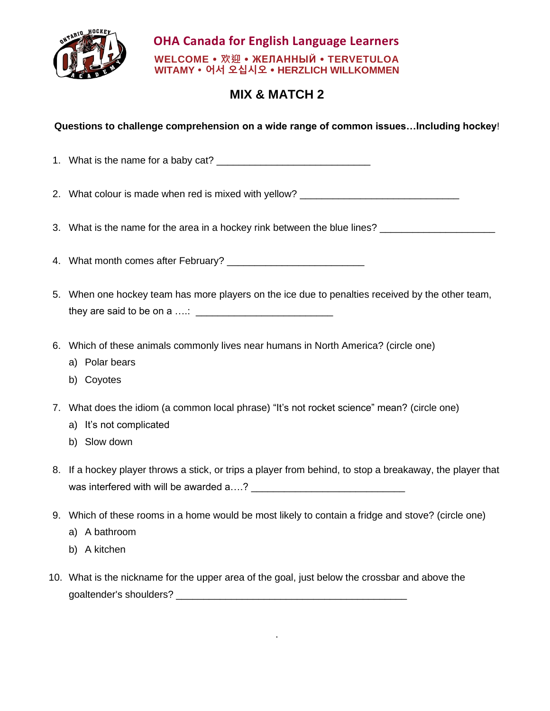

## **OHA Canada for English Language Learners WELCOME 欢迎 ЖЕЛАННЫЙ TERVETULOA WITAMY 어서 오십시오 HERZLICH WILLKOMMEN**

## **MIX & MATCH 2**

**Questions to challenge comprehension on a wide range of common issues…Including hockey**!

1. What is the name for a baby cat? \_\_\_\_\_\_\_\_\_\_\_\_\_\_\_\_\_\_\_\_\_\_\_\_\_\_\_\_

2. What colour is made when red is mixed with yellow?

3. What is the name for the area in a hockey rink between the blue lines?

4. What month comes after February? \_\_\_\_\_\_\_\_\_\_\_\_\_\_\_\_\_\_\_\_\_\_\_\_\_

- 5. When one hockey team has more players on the ice due to penalties received by the other team, they are said to be on a ….: \_\_\_\_\_\_\_\_\_\_\_\_\_\_\_\_\_\_\_\_\_\_\_\_\_
- 6. Which of these animals commonly lives near humans in North America? (circle one)
	- a) Polar bears
	- b) Coyotes
- 7. What does the idiom (a common local phrase) "It's not rocket science" mean? (circle one)
	- a) It's not complicated
	- b) Slow down
- 8. If a hockey player throws a stick, or trips a player from behind, to stop a breakaway, the player that was interfered with will be awarded a….? \_\_\_\_\_\_\_\_\_\_\_\_\_\_\_\_\_\_\_\_\_\_\_\_\_\_\_\_
- 9. Which of these rooms in a home would be most likely to contain a fridge and stove? (circle one)
	- a) A bathroom
	- b) A kitchen
- 10. What is the nickname for the upper area of the goal, just below the crossbar and above the goaltender's shoulders?

.